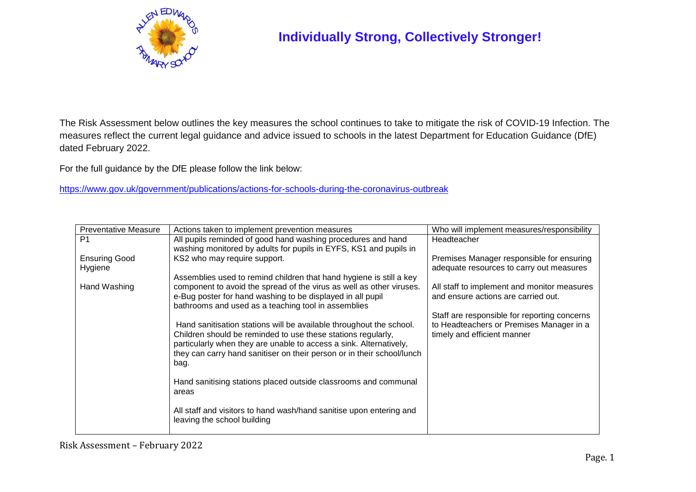

## **Individually Strong, Collectively Stronger!**

The Risk Assessment below outlines the key measures the school continues to take to mitigate the risk of COVID-19 Infection. The measures reflect the current legal guidance and advice issued to schools in the latest Department for Education Guidance (DfE) dated February 2022.

For the full guidance by the DfE please follow the link below:

<https://www.gov.uk/government/publications/actions-for-schools-during-the-coronavirus-outbreak>

| <b>Preventative Measure</b> | Actions taken to implement prevention measures                                                                                     | Who will implement measures/responsibility                                         |
|-----------------------------|------------------------------------------------------------------------------------------------------------------------------------|------------------------------------------------------------------------------------|
| P <sub>1</sub>              | All pupils reminded of good hand washing procedures and hand                                                                       | <b>Headteacher</b>                                                                 |
|                             | washing monitored by adults for pupils in EYFS, KS1 and pupils in                                                                  |                                                                                    |
| <b>Ensuring Good</b>        | KS2 who may require support.                                                                                                       | Premises Manager responsible for ensuring                                          |
| Hygiene                     |                                                                                                                                    | adequate resources to carry out measures                                           |
|                             | Assemblies used to remind children that hand hygiene is still a key                                                                |                                                                                    |
| Hand Washing                | component to avoid the spread of the virus as well as other viruses.<br>e-Bug poster for hand washing to be displayed in all pupil | All staff to implement and monitor measures<br>and ensure actions are carried out. |
|                             | bathrooms and used as a teaching tool in assemblies                                                                                |                                                                                    |
|                             |                                                                                                                                    | Staff are responsible for reporting concerns                                       |
|                             | Hand sanitisation stations will be available throughout the school.                                                                | to Headteachers or Premises Manager in a                                           |
|                             | Children should be reminded to use these stations regularly,                                                                       | timely and efficient manner                                                        |
|                             | particularly when they are unable to access a sink. Alternatively,                                                                 |                                                                                    |
|                             | they can carry hand sanitiser on their person or in their school/lunch                                                             |                                                                                    |
|                             | bag.                                                                                                                               |                                                                                    |
|                             |                                                                                                                                    |                                                                                    |
|                             | Hand sanitising stations placed outside classrooms and communal                                                                    |                                                                                    |
|                             | areas                                                                                                                              |                                                                                    |
|                             | All staff and visitors to hand wash/hand sanitise upon entering and                                                                |                                                                                    |
|                             | leaving the school building                                                                                                        |                                                                                    |
|                             |                                                                                                                                    |                                                                                    |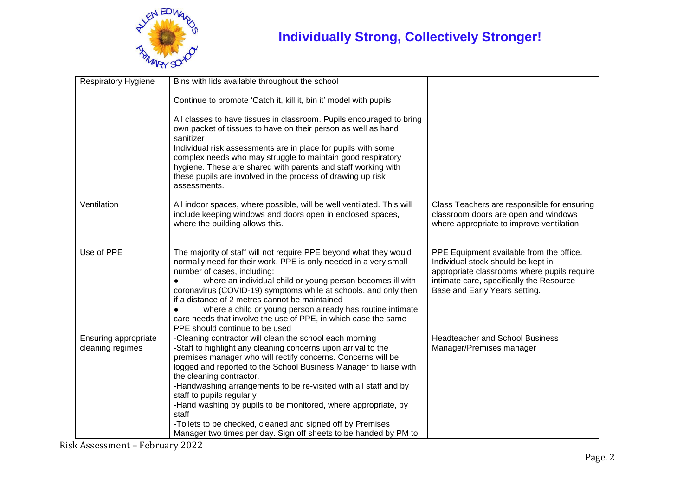

| <b>Respiratory Hygiene</b>               | Bins with lids available throughout the school                                                                                                                                                                                                                                                                                                                                                                                                                                                                                                                                                          |                                                                                                                                                                                                            |
|------------------------------------------|---------------------------------------------------------------------------------------------------------------------------------------------------------------------------------------------------------------------------------------------------------------------------------------------------------------------------------------------------------------------------------------------------------------------------------------------------------------------------------------------------------------------------------------------------------------------------------------------------------|------------------------------------------------------------------------------------------------------------------------------------------------------------------------------------------------------------|
|                                          | Continue to promote 'Catch it, kill it, bin it' model with pupils                                                                                                                                                                                                                                                                                                                                                                                                                                                                                                                                       |                                                                                                                                                                                                            |
|                                          | All classes to have tissues in classroom. Pupils encouraged to bring<br>own packet of tissues to have on their person as well as hand<br>sanitizer<br>Individual risk assessments are in place for pupils with some<br>complex needs who may struggle to maintain good respiratory<br>hygiene. These are shared with parents and staff working with<br>these pupils are involved in the process of drawing up risk<br>assessments.                                                                                                                                                                      |                                                                                                                                                                                                            |
| Ventilation                              | All indoor spaces, where possible, will be well ventilated. This will<br>include keeping windows and doors open in enclosed spaces,<br>where the building allows this.                                                                                                                                                                                                                                                                                                                                                                                                                                  | Class Teachers are responsible for ensuring<br>classroom doors are open and windows<br>where appropriate to improve ventilation                                                                            |
| Use of PPE                               | The majority of staff will not require PPE beyond what they would<br>normally need for their work. PPE is only needed in a very small<br>number of cases, including:<br>where an individual child or young person becomes ill with<br>coronavirus (COVID-19) symptoms while at schools, and only then<br>if a distance of 2 metres cannot be maintained<br>where a child or young person already has routine intimate<br>care needs that involve the use of PPE, in which case the same<br>PPE should continue to be used                                                                               | PPE Equipment available from the office.<br>Individual stock should be kept in<br>appropriate classrooms where pupils require<br>intimate care, specifically the Resource<br>Base and Early Years setting. |
| Ensuring appropriate<br>cleaning regimes | -Cleaning contractor will clean the school each morning<br>-Staff to highlight any cleaning concerns upon arrival to the<br>premises manager who will rectify concerns. Concerns will be<br>logged and reported to the School Business Manager to liaise with<br>the cleaning contractor.<br>-Handwashing arrangements to be re-visited with all staff and by<br>staff to pupils regularly<br>-Hand washing by pupils to be monitored, where appropriate, by<br>staff<br>-Toilets to be checked, cleaned and signed off by Premises<br>Manager two times per day. Sign off sheets to be handed by PM to | <b>Headteacher and School Business</b><br>Manager/Premises manager                                                                                                                                         |

Risk Assessment – February 2022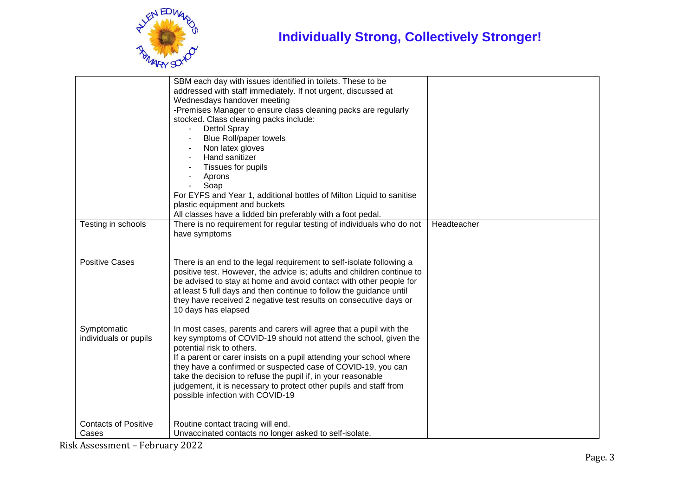

|                             | SBM each day with issues identified in toilets. These to be                                                                                    |             |
|-----------------------------|------------------------------------------------------------------------------------------------------------------------------------------------|-------------|
|                             | addressed with staff immediately. If not urgent, discussed at                                                                                  |             |
|                             | Wednesdays handover meeting                                                                                                                    |             |
|                             | -Premises Manager to ensure class cleaning packs are regularly                                                                                 |             |
|                             | stocked. Class cleaning packs include:                                                                                                         |             |
|                             | <b>Dettol Spray</b>                                                                                                                            |             |
|                             |                                                                                                                                                |             |
|                             | <b>Blue Roll/paper towels</b>                                                                                                                  |             |
|                             | Non latex gloves<br>Hand sanitizer                                                                                                             |             |
|                             |                                                                                                                                                |             |
|                             | Tissues for pupils                                                                                                                             |             |
|                             | Aprons                                                                                                                                         |             |
|                             | Soap                                                                                                                                           |             |
|                             | For EYFS and Year 1, additional bottles of Milton Liquid to sanitise                                                                           |             |
|                             | plastic equipment and buckets                                                                                                                  |             |
|                             | All classes have a lidded bin preferably with a foot pedal.                                                                                    |             |
| Testing in schools          | There is no requirement for regular testing of individuals who do not                                                                          | Headteacher |
|                             | have symptoms                                                                                                                                  |             |
|                             |                                                                                                                                                |             |
| <b>Positive Cases</b>       |                                                                                                                                                |             |
|                             | There is an end to the legal requirement to self-isolate following a<br>positive test. However, the advice is; adults and children continue to |             |
|                             | be advised to stay at home and avoid contact with other people for                                                                             |             |
|                             | at least 5 full days and then continue to follow the guidance until                                                                            |             |
|                             |                                                                                                                                                |             |
|                             | they have received 2 negative test results on consecutive days or                                                                              |             |
|                             | 10 days has elapsed                                                                                                                            |             |
| Symptomatic                 |                                                                                                                                                |             |
|                             | In most cases, parents and carers will agree that a pupil with the                                                                             |             |
| individuals or pupils       | key symptoms of COVID-19 should not attend the school, given the<br>potential risk to others.                                                  |             |
|                             | If a parent or carer insists on a pupil attending your school where                                                                            |             |
|                             | they have a confirmed or suspected case of COVID-19, you can                                                                                   |             |
|                             | take the decision to refuse the pupil if, in your reasonable                                                                                   |             |
|                             | judgement, it is necessary to protect other pupils and staff from                                                                              |             |
|                             | possible infection with COVID-19                                                                                                               |             |
|                             |                                                                                                                                                |             |
|                             |                                                                                                                                                |             |
| <b>Contacts of Positive</b> | Routine contact tracing will end.                                                                                                              |             |
| Cases                       | Unvaccinated contacts no longer asked to self-isolate.                                                                                         |             |
|                             |                                                                                                                                                |             |

Risk Assessment – February 2022